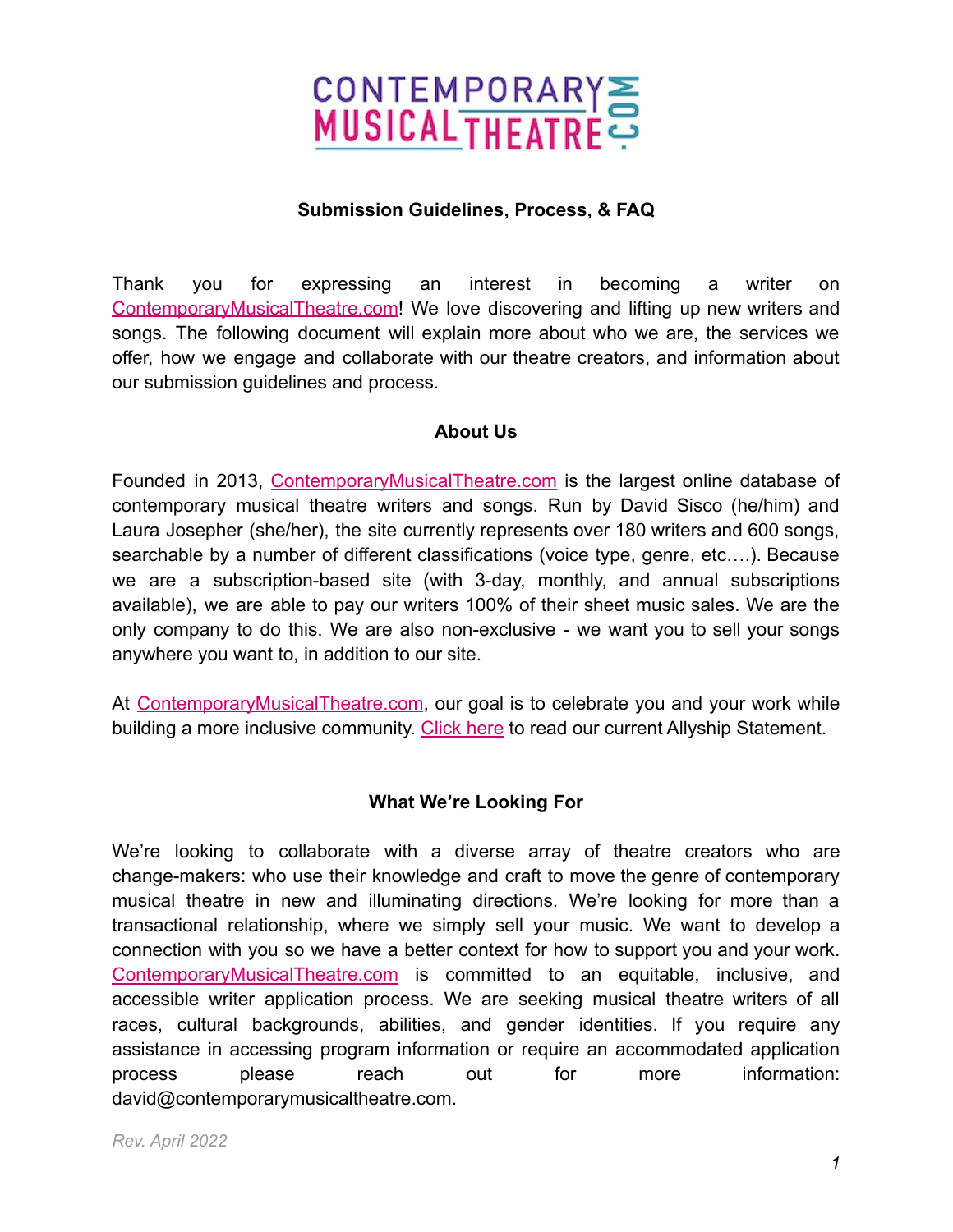

#### **Submission Guidelines, Process, & FAQ**

Thank you for expressing an interest in becoming a writer on [ContemporaryMusicalTheatre.com](http://contemporarymusicaltheatre.com)! We love discovering and lifting up new writers and songs. The following document will explain more about who we are, the services we offer, how we engage and collaborate with our theatre creators, and information about our submission guidelines and process.

#### **About Us**

Founded in 2013, [ContemporaryMusicalTheatre.com](https://www.contemporarymusicaltheatre.com/) is the largest online database of contemporary musical theatre writers and songs. Run by David Sisco (he/him) and Laura Josepher (she/her), the site currently represents over 180 writers and 600 songs, searchable by a number of different classifications (voice type, genre, etc….). Because we are a subscription-based site (with 3-day, monthly, and annual subscriptions available), we are able to pay our writers 100% of their sheet music sales. We are the only company to do this. We are also non-exclusive - we want you to sell your songs anywhere you want to, in addition to our site.

At [ContemporaryMusicalTheatre.com](https://www.contemporarymusicaltheatre.com/), our goal is to celebrate you and your work while building a more inclusive community. [Click here](https://www.contemporarymusicaltheatre.com/content/equity-inclusion) to read our current Allyship Statement.

## **What We're Looking For**

We're looking to collaborate with a diverse array of theatre creators who are change-makers: who use their knowledge and craft to move the genre of contemporary musical theatre in new and illuminating directions. We're looking for more than a transactional relationship, where we simply sell your music. We want to develop a connection with you so we have a better context for how to support you and your work. [ContemporaryMusicalTheatre.com](https://contemporarymusicaltheatre.com/) is committed to an equitable, inclusive, and accessible writer application process. We are seeking musical theatre writers of all races, cultural backgrounds, abilities, and gender identities. If you require any assistance in accessing program information or require an accommodated application process please reach out for more information: david@contemporarymusicaltheatre.com.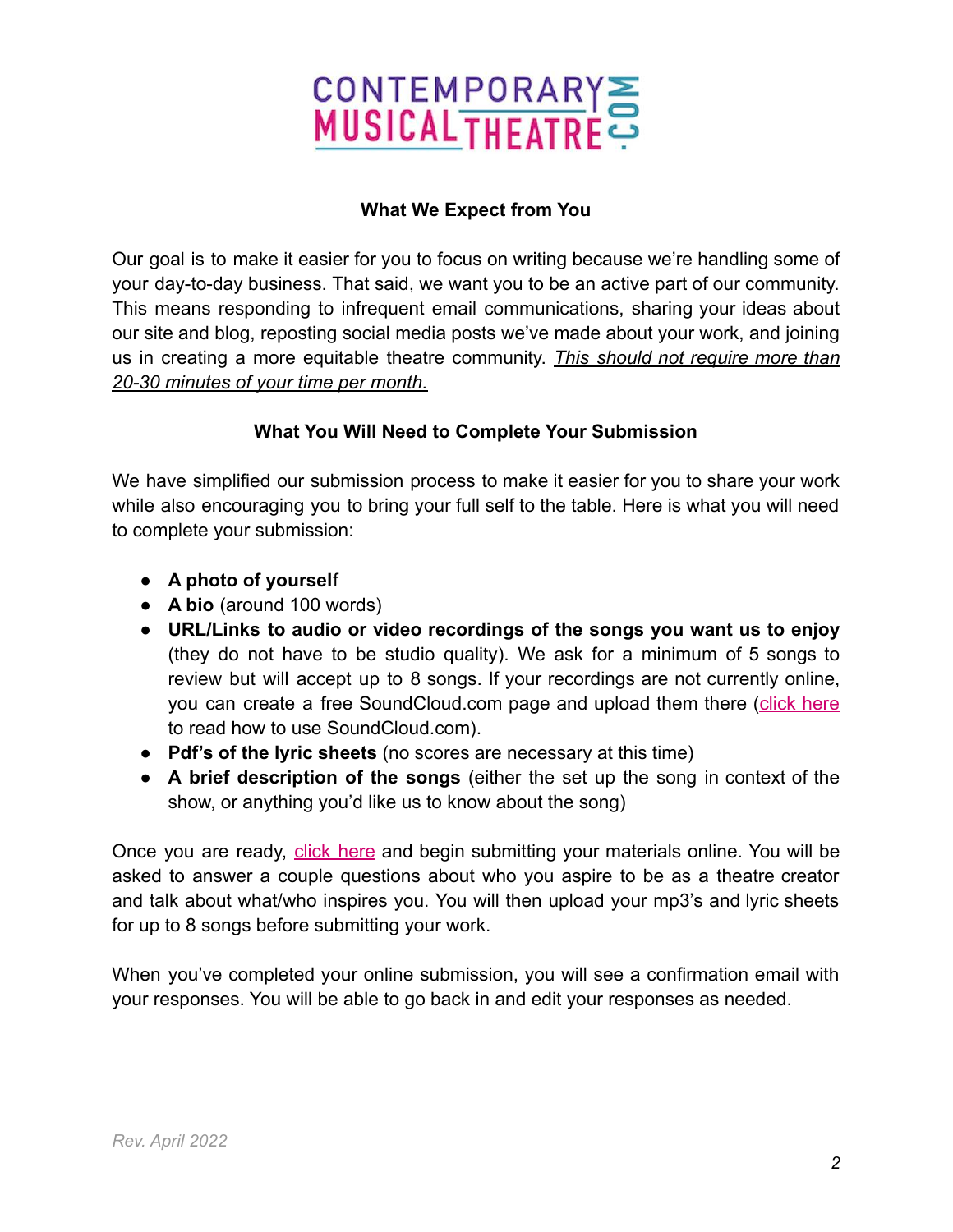

## **What We Expect from You**

Our goal is to make it easier for you to focus on writing because we're handling some of your day-to-day business. That said, we want you to be an active part of our community. This means responding to infrequent email communications, sharing your ideas about our site and blog, reposting social media posts we've made about your work, and joining us in creating a more equitable theatre community. *This should not require more than 20-30 minutes of your time per month.*

## **What You Will Need to Complete Your Submission**

We have simplified our submission process to make it easier for you to share your work while also encouraging you to bring your full self to the table. Here is what you will need to complete your submission:

- **A photo of yoursel**f
- **A bio** (around 100 words)
- **URL/Links to audio or video recordings of the songs you want us to enjoy** (they do not have to be studio quality). We ask for a minimum of 5 songs to review but will accept up to 8 songs. If your recordings are not currently online, you can create a free SoundCloud.com page and upload them there (click [here](https://help.soundcloud.com/hc/en-us/articles/115003569608-Creating-an-account-on-SoundCloud) to read how to use SoundCloud.com).
- **Pdf's of the lyric sheets** (no scores are necessary at this time)
- **A brief description of the songs** (either the set up the song in context of the show, or anything you'd like us to know about the song)

Once you are ready, click [here](https://docs.google.com/forms/d/e/1FAIpQLScAB603wOg2EEUw21313JzYBSWo5PBruPhoUY7s0ZxrLIjdhg/viewform?usp=sf_link) and begin submitting your materials online. You will be asked to answer a couple questions about who you aspire to be as a theatre creator and talk about what/who inspires you. You will then upload your mp3's and lyric sheets for up to 8 songs before submitting your work.

When you've completed your online submission, you will see a confirmation email with your responses. You will be able to go back in and edit your responses as needed.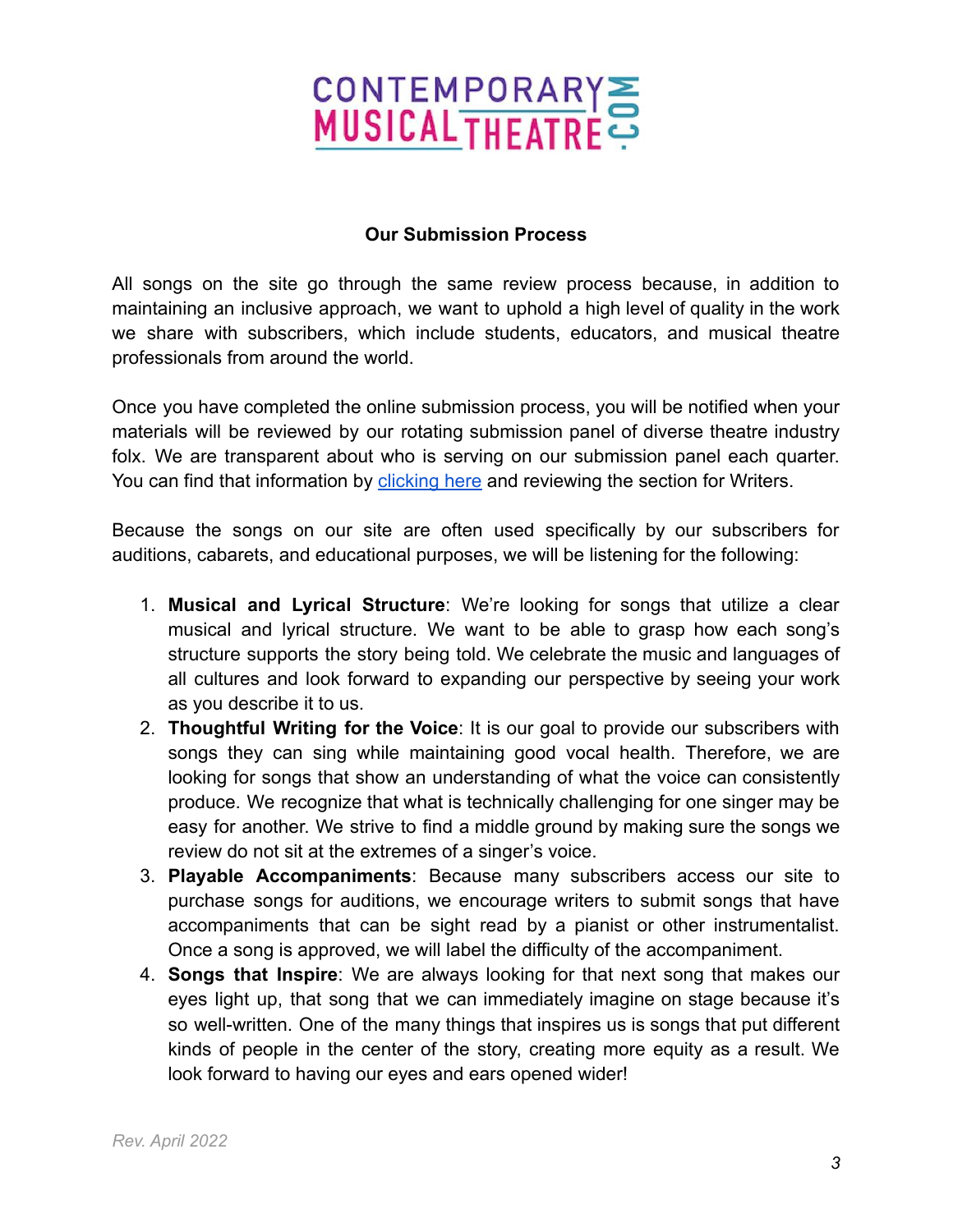# CONTEMPORARYS

## **Our Submission Process**

All songs on the site go through the same review process because, in addition to maintaining an inclusive approach, we want to uphold a high level of quality in the work we share with subscribers, which include students, educators, and musical theatre professionals from around the world.

Once you have completed the online submission process, you will be notified when your materials will be reviewed by our rotating submission panel of diverse theatre industry folx. We are transparent about who is serving on our submission panel each quarter. You can find that information by [clicking here](http://contemporarymusicaltheatre.com/content/mission-history) and reviewing the section for Writers.

Because the songs on our site are often used specifically by our subscribers for auditions, cabarets, and educational purposes, we will be listening for the following:

- 1. **Musical and Lyrical Structure**: We're looking for songs that utilize a clear musical and lyrical structure. We want to be able to grasp how each song's structure supports the story being told. We celebrate the music and languages of all cultures and look forward to expanding our perspective by seeing your work as you describe it to us.
- 2. **Thoughtful Writing for the Voice**: It is our goal to provide our subscribers with songs they can sing while maintaining good vocal health. Therefore, we are looking for songs that show an understanding of what the voice can consistently produce. We recognize that what is technically challenging for one singer may be easy for another. We strive to find a middle ground by making sure the songs we review do not sit at the extremes of a singer's voice.
- 3. **Playable Accompaniments**: Because many subscribers access our site to purchase songs for auditions, we encourage writers to submit songs that have accompaniments that can be sight read by a pianist or other instrumentalist. Once a song is approved, we will label the difficulty of the accompaniment.
- 4. **Songs that Inspire**: We are always looking for that next song that makes our eyes light up, that song that we can immediately imagine on stage because it's so well-written. One of the many things that inspires us is songs that put different kinds of people in the center of the story, creating more equity as a result. We look forward to having our eyes and ears opened wider!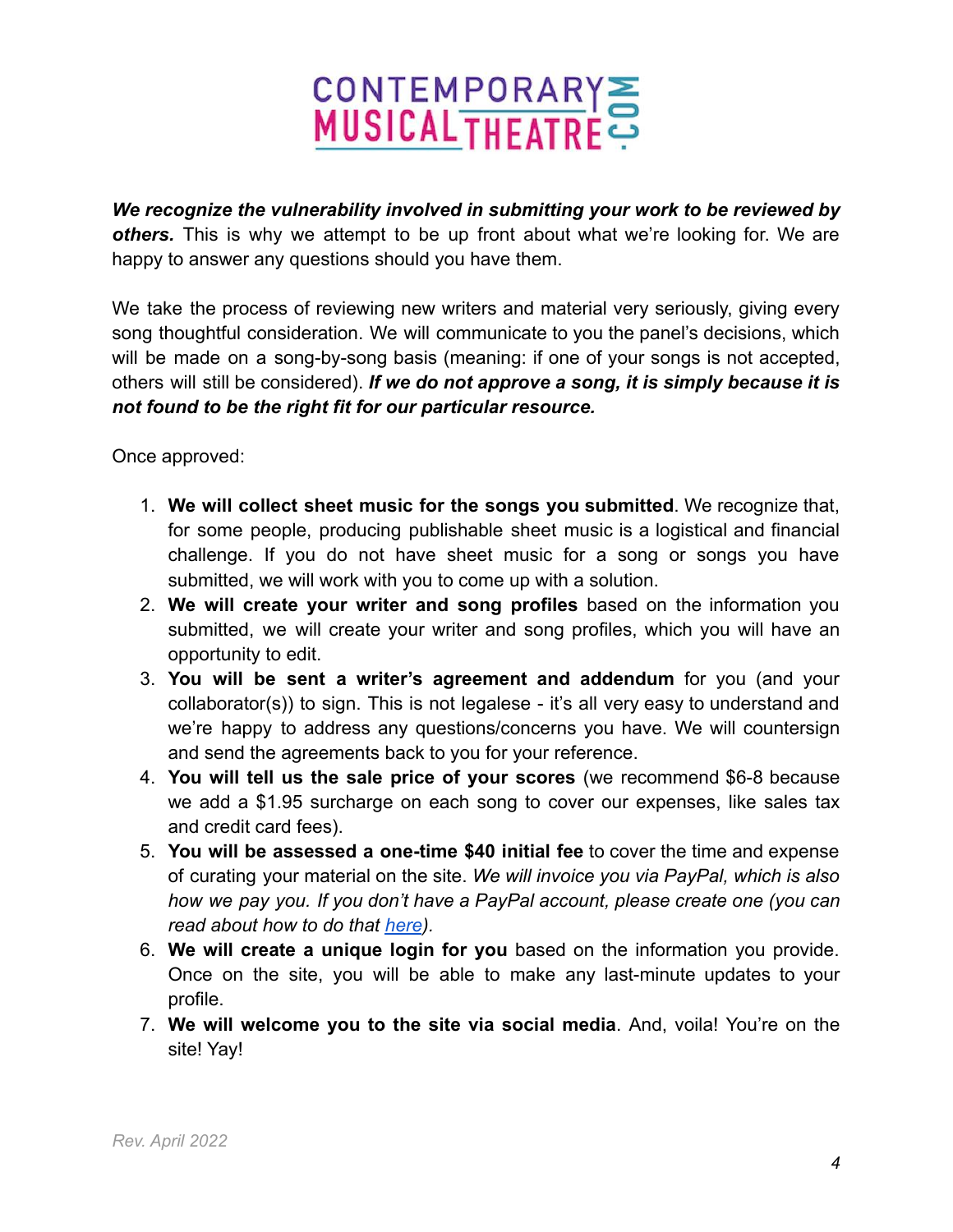# CONTEMPORARYS

*We recognize the vulnerability involved in submitting your work to be reviewed by others.* This is why we attempt to be up front about what we're looking for. We are happy to answer any questions should you have them.

We take the process of reviewing new writers and material very seriously, giving every song thoughtful consideration. We will communicate to you the panel's decisions, which will be made on a song-by-song basis (meaning: if one of your songs is not accepted, others will still be considered). *If we do not approve a song, it is simply because it is not found to be the right fit for our particular resource.*

Once approved:

- 1. **We will collect sheet music for the songs you submitted**. We recognize that, for some people, producing publishable sheet music is a logistical and financial challenge. If you do not have sheet music for a song or songs you have submitted, we will work with you to come up with a solution.
- 2. **We will create your writer and song profiles** based on the information you submitted, we will create your writer and song profiles, which you will have an opportunity to edit.
- 3. **You will be sent a writer's agreement and addendum** for you (and your collaborator(s)) to sign. This is not legalese - it's all very easy to understand and we're happy to address any questions/concerns you have. We will countersign and send the agreements back to you for your reference.
- 4. **You will tell us the sale price of your scores** (we recommend \$6-8 because we add a \$1.95 surcharge on each song to cover our expenses, like sales tax and credit card fees).
- 5. **You will be assessed a one-time \$40 initial fee** to cover the time and expense of curating your material on the site. *We will invoice you via PayPal, which is also how we pay you. If you don't have a PayPal account, please create one (you can read about how to do that [here](https://www.paypal.com/in/smarthelp/article/how-do-i-open-a-paypal-account-faq963)).*
- 6. **We will create a unique login for you** based on the information you provide. Once on the site, you will be able to make any last-minute updates to your profile.
- 7. **We will welcome you to the site via social media**. And, voila! You're on the site! Yay!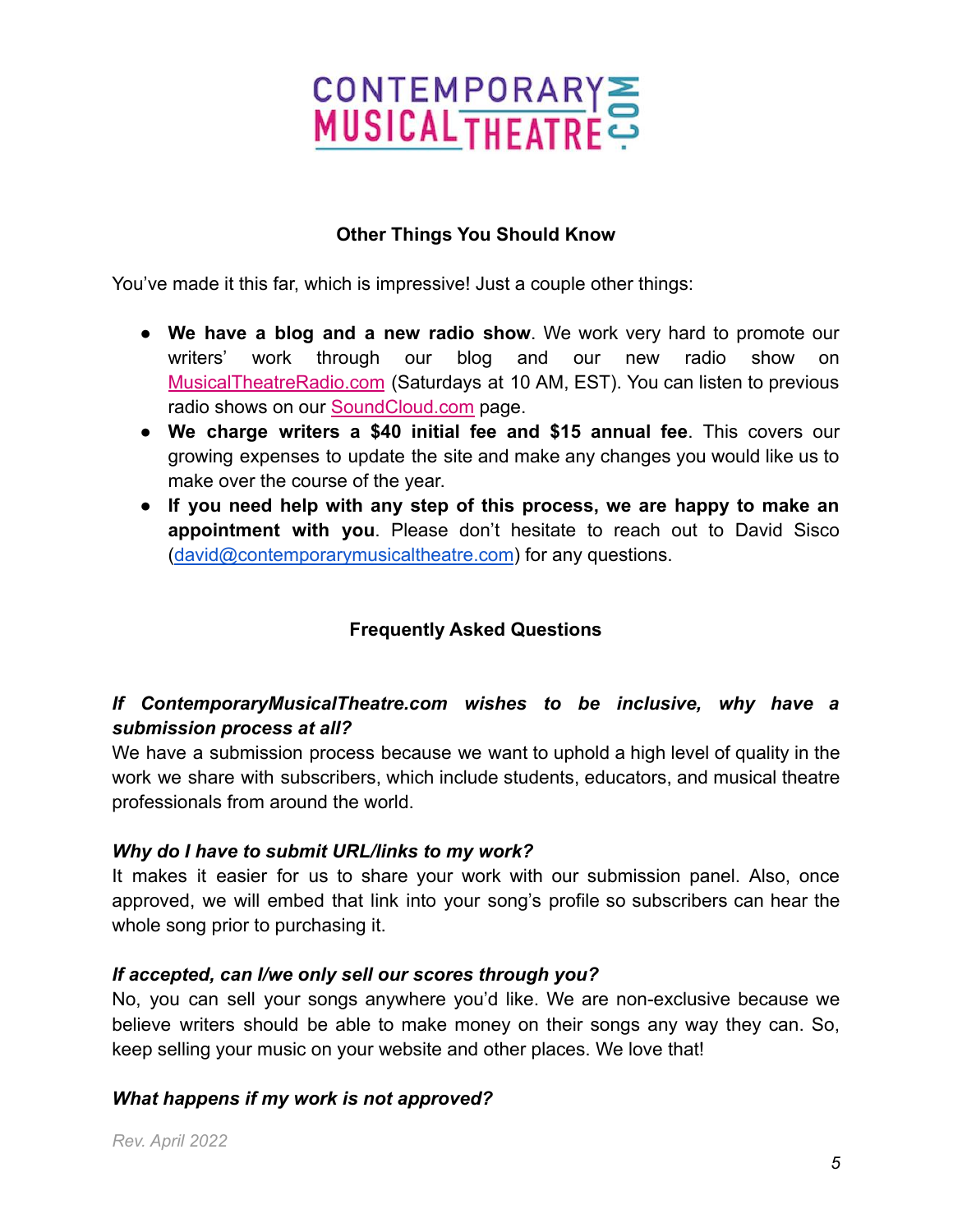

## **Other Things You Should Know**

You've made it this far, which is impressive! Just a couple other things:

- **We have a blog and a new radio show**. We work very hard to promote our writers' work through our blog and our new radio show on [MusicalTheatreRadio.com](https://www.musicaltheatreradio.com/) (Saturdays at 10 AM, EST). You can listen to previous radio shows on our [SoundCloud.com](https://soundcloud.com/music-theatre-today/sets) page.
- **We charge writers a \$40 initial fee and \$15 annual fee**. This covers our growing expenses to update the site and make any changes you would like us to make over the course of the year.
- **If you need help with any step of this process, we are happy to make an appointment with you**. Please don't hesitate to reach out to David Sisco ([david@contemporarymusicaltheatre.com](mailto:david@contemporarymusicaltheatre.com)) for any questions.

## **Frequently Asked Questions**

## *If ContemporaryMusicalTheatre.com wishes to be inclusive, why have a submission process at all?*

We have a submission process because we want to uphold a high level of quality in the work we share with subscribers, which include students, educators, and musical theatre professionals from around the world.

#### *Why do I have to submit URL/links to my work?*

It makes it easier for us to share your work with our submission panel. Also, once approved, we will embed that link into your song's profile so subscribers can hear the whole song prior to purchasing it.

#### *If accepted, can I/we only sell our scores through you?*

No, you can sell your songs anywhere you'd like. We are non-exclusive because we believe writers should be able to make money on their songs any way they can. So, keep selling your music on your website and other places. We love that!

#### *What happens if my work is not approved?*

*Rev. April 2022*